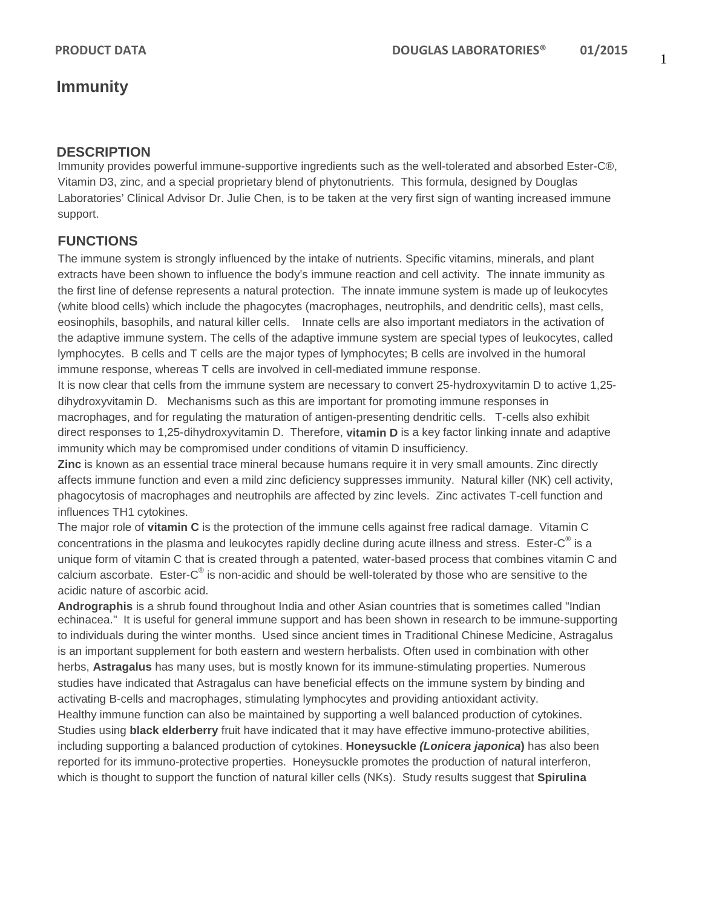# **Immunity**

### **DESCRIPTION**

Immunity provides powerful immune-supportive ingredients such as the well-tolerated and absorbed Ester-C®, Vitamin D3, zinc, and a special proprietary blend of phytonutrients. This formula, designed by Douglas Laboratories' Clinical Advisor Dr. Julie Chen, is to be taken at the very first sign of wanting increased immune support.

## **FUNCTIONS**

The immune system is strongly influenced by the intake of nutrients. Specific vitamins, minerals, and plant extracts have been shown to influence the body's immune reaction and cell activity.The innate immunity as the first line of defense represents a natural protection. The innate immune system is made up of leukocytes [\(white blood cells\)](http://en.wikipedia.org/wiki/White_blood_cell) which include the [phagocytes](http://en.wikipedia.org/wiki/Phagocyte) [\(macrophages,](http://en.wikipedia.org/wiki/Macrophage) [neutrophils,](http://en.wikipedia.org/wiki/Neutrophil_granulocyte) and [dendritic cells\)](http://en.wikipedia.org/wiki/Dendritic_cell), [mast cells,](http://en.wikipedia.org/wiki/Mast_cell) [eosinophils,](http://en.wikipedia.org/wiki/Eosinophil_granulocyte) [basophils,](http://en.wikipedia.org/wiki/Basophil_granulocyte) and [natural killer cells.](http://en.wikipedia.org/wiki/Natural_killer_cell) Innate cells are also important mediators in the activation of the [adaptive immune system.](http://en.wikipedia.org/wiki/Adaptive_immune_system) The cells of the adaptive immune system are special types of leukocytes, called [lymphocytes.](http://en.wikipedia.org/wiki/Lymphocyte) [B cells](http://en.wikipedia.org/wiki/B_cell) and [T cells](http://en.wikipedia.org/wiki/T_cell) are the major types of lymphocytes; B cells are involved in the [humoral](http://en.wikipedia.org/wiki/Humoral_immunity)  [immune response,](http://en.wikipedia.org/wiki/Humoral_immunity) whereas T cells are involved in [cell-mediated immune response.](http://en.wikipedia.org/wiki/Cell-mediated_immunity)

It is now clear that cells from the immune system are necessary to convert 25-hydroxyvitamin D to active 1,25 dihydroxyvitamin D. Mechanisms such as this are important for promoting immune responses in macrophages, and for regulating the maturation of antigen-presenting dendritic cells. T-cells also exhibit direct responses to 1,25-dihydroxyvitamin D. Therefore, **vitamin D** is a key factor linking innate and adaptive immunity which may be compromised under conditions of vitamin D insufficiency.

**Zinc** is known as an essential trace mineral because humans require it in very small amounts. Zinc directly affects immune function and even a mild zinc deficiency suppresses immunity. Natural killer (NK) cell activity, phagocytosis of macrophages and neutrophils are affected by zinc levels. Zinc activates T-cell function and influences TH1 cytokines.

The major role of **vitamin C** is the protection of the immune cells against free radical damage. Vitamin C concentrations in the plasma and leukocytes rapidly decline during acute illness and stress. Ester- $C^{\omega}$  is a unique form of vitamin C that is created through a patented, water-based process that combines vitamin C and calcium ascorbate. Ester-C® is non-acidic and should be well-tolerated by those who are sensitive to the acidic nature of ascorbic acid.

**Andrographis** is a shrub found throughout India and other Asian countries that is sometimes called "Indian echinacea." It is useful for general immune support and has been shown in research to be immune-supporting to individuals during the winter months. Used since ancient times in Traditional Chinese Medicine, Astragalus is an important supplement for both eastern and western herbalists. Often used in combination with other herbs, **Astragalus** has many uses, but is mostly known for its immune-stimulating properties. Numerous studies have indicated that Astragalus can have beneficial effects on the immune system by binding and activating B-cells and macrophages, stimulating lymphocytes and providing antioxidant activity.

Healthy immune function can also be maintained by supporting a well balanced production of cytokines. Studies using **black elderberry** fruit have indicated that it may have effective immuno-protective abilities, including supporting a balanced production of cytokines. **Honeysuckle** *(Lonicera japonica***)** has also been reported for its immuno-protective properties. Honeysuckle promotes the production of natural interferon, which is thought to support the function of natural killer cells (NKs). Study results suggest that **Spirulina**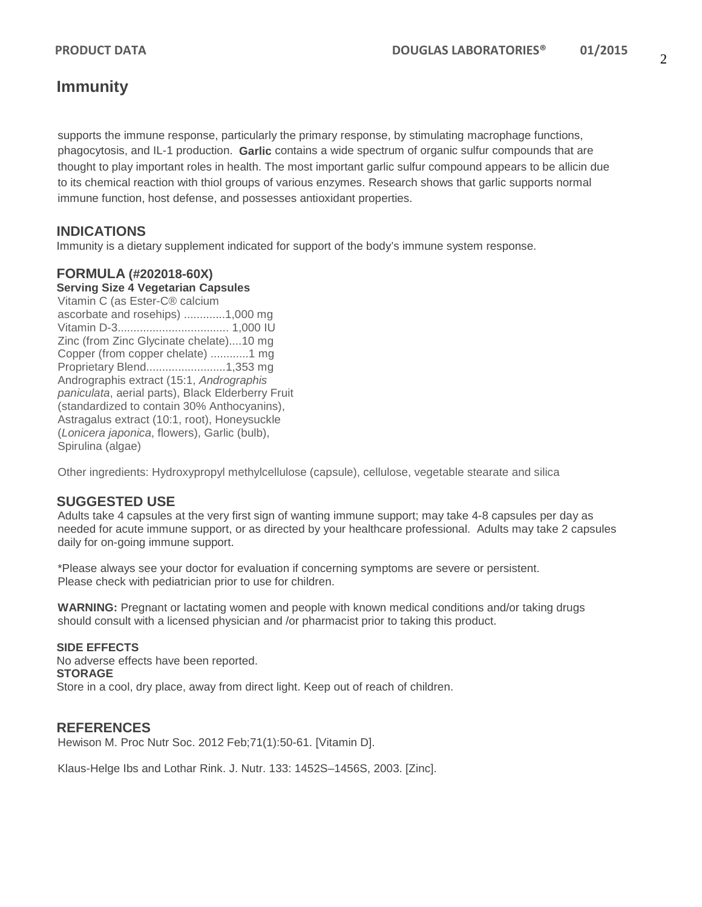# **Immunity**

supports the immune response, particularly the primary response, by stimulating macrophage functions, phagocytosis, and IL-1 production. **Garlic** contains a wide spectrum of organic sulfur compounds that are thought to play important roles in health. The most important garlic sulfur compound appears to be allicin due to its chemical reaction with thiol groups of various enzymes. Research shows that garlic supports normal immune function, host defense, and possesses antioxidant properties.

# **INDICATIONS**

Immunity is a dietary supplement indicated for support of the body's immune system response.

### **FORMULA (#202018-60X)**

#### **Serving Size 4 Vegetarian Capsules**

Vitamin C (as Ester-C® calcium ascorbate and rosehips) .............1,000 mg Vitamin D-3................................... 1,000 IU Zinc (from Zinc Glycinate chelate)....10 mg Copper (from copper chelate) ............1 mg Proprietary Blend.........................1,353 mg Andrographis extract (15:1, *Andrographis paniculata*, aerial parts), Black Elderberry Fruit (standardized to contain 30% Anthocyanins), Astragalus extract (10:1, root), Honeysuckle (*Lonicera japonica*, flowers), Garlic (bulb), Spirulina (algae)

Other ingredients: Hydroxypropyl methylcellulose (capsule), cellulose, vegetable stearate and silica

### **SUGGESTED USE**

Adults take 4 capsules at the very first sign of wanting immune support; may take 4-8 capsules per day as needed for acute immune support, or as directed by your healthcare professional. Adults may take 2 capsules daily for on-going immune support.

\*Please always see your doctor for evaluation if concerning symptoms are severe or persistent. Please check with pediatrician prior to use for children.

**WARNING:** Pregnant or lactating women and people with known medical conditions and/or taking drugs should consult with a licensed physician and /or pharmacist prior to taking this product.

#### **SIDE EFFECTS**

No adverse effects have been reported. **STORAGE** Store in a cool, dry place, away from direct light. Keep out of reach of children.

### **REFERENCES**

Hewison M. Proc Nutr Soc. 2012 Feb;71(1):50-61. [Vitamin D].

Klaus-Helge Ibs and Lothar Rink. J. Nutr. 133: 1452S–1456S, 2003. [Zinc].